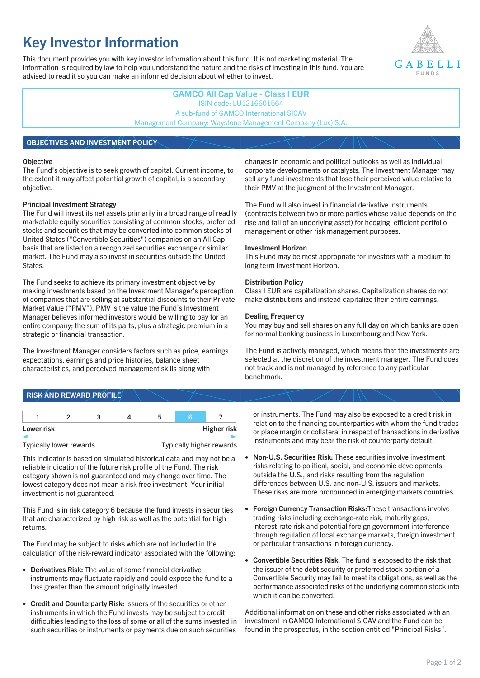# **Key Investor Information**

This document provides you with key investor information about this fund. It is not marketing material. The information is required by law to help you understand the nature and the risks of investing in this fund. You are advised to read it so you can make an informed decision about whether to invest.



## **GAMCO All Cap Value - Class I EUR** ISIN code: LU1216601564 A sub-fund of GAMCO International SICAV Management Company: Waystone Management Company (Lux) S.A.

## **OBJECTIVES AND INVESTMENT POLICY**

#### **Objective**

The Fund's objective is to seek growth of capital. Current income, to the extent it may affect potential growth of capital, is a secondary objective.

#### **Principal Investment Strategy**

The Fund will invest its net assets primarily in a broad range of readily marketable equity securities consisting of common stocks, preferred stocks and securities that may be converted into common stocks of United States ("Convertible Securities") companies on an All Cap basis that are listed on a recognized securities exchange or similar market. The Fund may also invest in securities outside the United States.

The Fund seeks to achieve its primary investment objective by making investments based on the Investment Manager's perception of companies that are selling at substantial discounts to their Private Market Value ("PMV"). PMV is the value the Fund's Investment Manager believes informed investors would be willing to pay for an entire company; the sum of its parts, plus a strategic premium in a strategic or financial transaction.

The Investment Manager considers factors such as price, earnings expectations, earnings and price histories, balance sheet characteristics, and perceived management skills along with

#### changes in economic and political outlooks as well as individual corporate developments or catalysts. The Investment Manager may sell any fund investments that lose their perceived value relative to their PMV at the judgment of the Investment Manager.

The Fund will also invest in financial derivative instruments (contracts between two or more parties whose value depends on the rise and fall of an underlying asset) for hedging, efficient portfolio management or other risk management purposes.

#### **Investment Horizon**

This Fund may be most appropriate for investors with a medium to long term Investment Horizon.

#### **Distribution Policy**

Class I EUR are capitalization shares. Capitalization shares do not make distributions and instead capitalize their entire earnings.

#### **Dealing Frequency**

You may buy and sell shares on any full day on which banks are open for normal banking business in Luxembourg and New York.

The Fund is actively managed, which means that the investments are selected at the discretion of the investment manager. The Fund does not track and is not managed by reference to any particular benchmark.

# **RISK AND REWARD PROFILE**

| Lower risk |  |  | <b>Higher risk</b> |
|------------|--|--|--------------------|

Typically lower rewards Typically higher rewards

This indicator is based on simulated historical data and may not be a reliable indication of the future risk profile of the Fund. The risk category shown is not guaranteed and may change over time. The lowest category does not mean a risk free investment. Your initial investment is not guaranteed.

This Fund is in risk category 6 because the fund invests in securities that are characterized by high risk as well as the potential for high returns.

The Fund may be subject to risks which are not included in the calculation of the risk-reward indicator associated with the following:

- **Derivatives Risk:** The value of some financial derivative instruments may fluctuate rapidly and could expose the fund to a loss greater than the amount originally invested.
- **Credit and Counterparty Risk:** Issuers of the securities or other instruments in which the Fund invests may be subject to credit difficulties leading to the loss of some or all of the sums invested in such securities or instruments or payments due on such securities

or instruments. The Fund may also be exposed to a credit risk in relation to the financing counterparties with whom the fund trades or place margin or collateral in respect of transactions in derivative instruments and may bear the risk of counterparty default.

- **Non-U.S. Securities Risk:** These securities involve investment risks relating to political, social, and economic developments outside the U.S., and risks resulting from the regulation differences between U.S. and non-U.S. issuers and markets. These risks are more pronounced in emerging markets countries.
- **Foreign Currency Transaction Risks:**These transactions involve trading risks including exchange-rate risk, maturity gaps, interest-rate risk and potential foreign government interference through regulation of local exchange markets, foreign investment, or particular transactions in foreign currency.
- **Convertible Securities Risk:** The fund is exposed to the risk that the issuer of the debt security or preferred stock portion of a Convertible Security may fail to meet its obligations, as well as the performance associated risks of the underlying common stock into which it can be converted.

Additional information on these and other risks associated with an investment in GAMCO International SICAV and the Fund can be found in the prospectus, in the section entitled "Principal Risks".